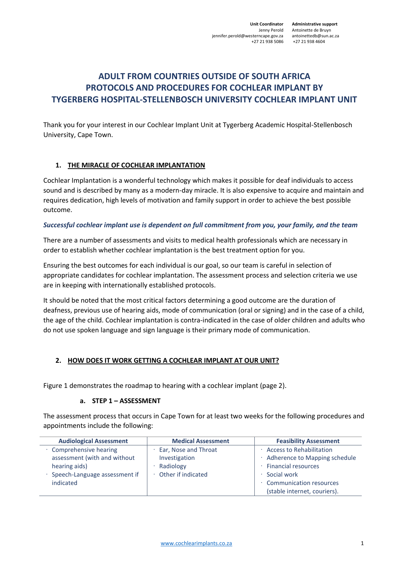# **ADULT FROM COUNTRIES OUTSIDE OF SOUTH AFRICA PROTOCOLS AND PROCEDURES FOR COCHLEAR IMPLANT BY TYGERBERG HOSPITAL-STELLENBOSCH UNIVERSITY COCHLEAR IMPLANT UNIT**

Thank you for your interest in our Cochlear Implant Unit at Tygerberg Academic Hospital-Stellenbosch University, Cape Town.

# **1. THE MIRACLE OF COCHLEAR IMPLANTATION**

Cochlear Implantation is a wonderful technology which makes it possible for deaf individuals to access sound and is described by many as a modern-day miracle. It is also expensive to acquire and maintain and requires dedication, high levels of motivation and family support in order to achieve the best possible outcome.

#### *Successful cochlear implant use is dependent on full commitment from you, your family, and the team*

There are a number of assessments and visits to medical health professionals which are necessary in order to establish whether cochlear implantation is the best treatment option for you.

Ensuring the best outcomes for each individual is our goal, so our team is careful in selection of appropriate candidates for cochlear implantation. The assessment process and selection criteria we use are in keeping with internationally established protocols.

It should be noted that the most critical factors determining a good outcome are the duration of deafness, previous use of hearing aids, mode of communication (oral or signing) and in the case of a child, the age of the child. Cochlear implantation is contra-indicated in the case of older children and adults who do not use spoken language and sign language is their primary mode of communication.

# **2. HOW DOES IT WORK GETTING A COCHLEAR IMPLANT AT OUR UNIT?**

Figure 1 demonstrates the roadmap to hearing with a cochlear implant (page 2).

#### **a. STEP 1 – ASSESSMENT**

The assessment process that occurs in Cape Town for at least two weeks for the following procedures and appointments include the following:

| <b>Audiological Assessment</b> | <b>Medical Assessment</b> | <b>Feasibility Assessment</b>                                  |
|--------------------------------|---------------------------|----------------------------------------------------------------|
| · Comprehensive hearing        | Ear, Nose and Throat      | · Access to Rehabilitation                                     |
| assessment (with and without   | Investigation             | · Adherence to Mapping schedule                                |
| hearing aids)                  | Radiology                 | <b>Financial resources</b>                                     |
| Speech-Language assessment if  | Other if indicated        | Social work                                                    |
| indicated                      |                           | <b>Communication resources</b><br>(stable internet, couriers). |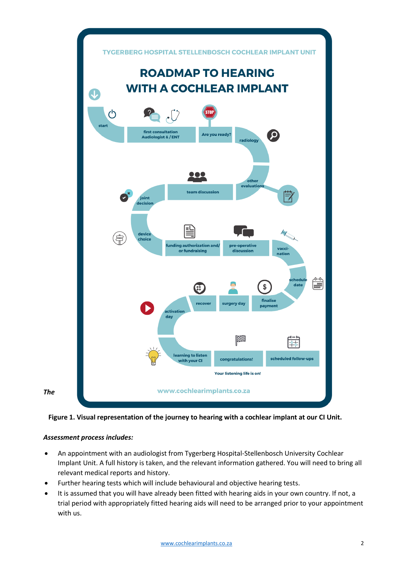



# *Assessment process includes:*

- An appointment with an audiologist from Tygerberg Hospital-Stellenbosch University Cochlear Implant Unit. A full history is taken, and the relevant information gathered. You will need to bring all relevant medical reports and history.
- Further hearing tests which will include behavioural and objective hearing tests.
- It is assumed that you will have already been fitted with hearing aids in your own country. If not, a trial period with appropriately fitted hearing aids will need to be arranged prior to your appointment with us.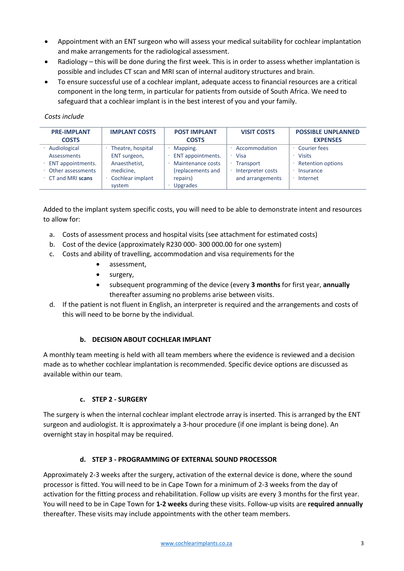- Appointment with an ENT surgeon who will assess your medical suitability for cochlear implantation and make arrangements for the radiological assessment.
- Radiology this will be done during the first week. This is in order to assess whether implantation is possible and includes CT scan and MRI scan of internal auditory structures and brain.
- To ensure successful use of a cochlear implant, adequate access to financial resources are a critical component in the long term, in particular for patients from outside of South Africa. We need to safeguard that a cochlear implant is in the best interest of you and your family.

| <b>PRE-IMPLANT</b> | <b>IMPLANT COSTS</b> | <b>POST IMPLANT</b> | <b>VISIT COSTS</b> | <b>POSSIBLE UNPLANNED</b> |
|--------------------|----------------------|---------------------|--------------------|---------------------------|
| <b>COSTS</b>       |                      | <b>COSTS</b>        |                    | <b>EXPENSES</b>           |
| Audiological       | Theatre, hospital    | Mapping.            | Accommodation      | Courier fees              |
| <b>Assessments</b> | ENT surgeon,         | ENT appointments.   | Visa               | <b>Visits</b>             |
| ENT appointments.  | Anaesthetist,        | Maintenance costs   | Transport          | <b>Retention options</b>  |
| Other assessments  | medicine,            | (replacements and   | Interpreter costs  | Insurance                 |
| CT and MRI scans   | Cochlear implant     | repairs)            | and arrangements   | Internet                  |
|                    | system               | <b>Upgrades</b>     |                    |                           |

#### *Costs include*

Added to the implant system specific costs, you will need to be able to demonstrate intent and resources to allow for:

- a. Costs of assessment process and hospital visits (see attachment for estimated costs)
- b. Cost of the device (approximately R230 000- 300 000.00 for one system)
- c. Costs and ability of travelling, accommodation and visa requirements for the
	- assessment,
	- surgery,
	- subsequent programming of the device (every **3 months** for first year, **annually** thereafter assuming no problems arise between visits.
- d. If the patient is not fluent in English, an interpreter is required and the arrangements and costs of this will need to be borne by the individual.

# **b. DECISION ABOUT COCHLEAR IMPLANT**

A monthly team meeting is held with all team members where the evidence is reviewed and a decision made as to whether cochlear implantation is recommended. Specific device options are discussed as available within our team.

# **c. STEP 2 - SURGERY**

The surgery is when the internal cochlear implant electrode array is inserted. This is arranged by the ENT surgeon and audiologist. It is approximately a 3-hour procedure (if one implant is being done). An overnight stay in hospital may be required.

# **d. STEP 3 - PROGRAMMING OF EXTERNAL SOUND PROCESSOR**

Approximately 2-3 weeks after the surgery, activation of the external device is done, where the sound processor is fitted. You will need to be in Cape Town for a minimum of 2-3 weeks from the day of activation for the fitting process and rehabilitation. Follow up visits are every 3 months for the first year. You will need to be in Cape Town for **1-2 weeks** during these visits. Follow-up visits are **required annually** thereafter. These visits may include appointments with the other team members.